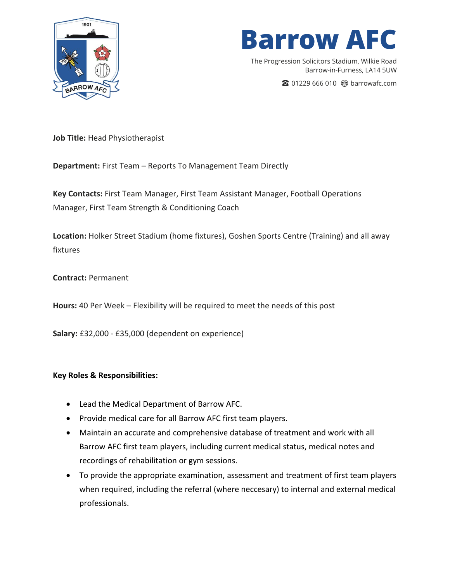

The Progression Solicitors Stadium, Wilkie Road Barrow-in-Furness, LA14 5UW

☎ 01229 666 010 barrowafc.com

**Job Title:** Head Physiotherapist

**Department:** First Team – Reports To Management Team Directly

**Key Contacts:** First Team Manager, First Team Assistant Manager, Football Operations Manager, First Team Strength & Conditioning Coach

**Location:** Holker Street Stadium (home fixtures), Goshen Sports Centre (Training) and all away fixtures

**Contract:** Permanent

**Hours:** 40 Per Week – Flexibility will be required to meet the needs of this post

**Salary:** £32,000 - £35,000 (dependent on experience)

#### **Key Roles & Responsibilities:**

- Lead the Medical Department of Barrow AFC.
- Provide medical care for all Barrow AFC first team players.
- Maintain an accurate and comprehensive database of treatment and work with all Barrow AFC first team players, including current medical status, medical notes and recordings of rehabilitation or gym sessions.
- To provide the appropriate examination, assessment and treatment of first team players when required, including the referral (where neccesary) to internal and external medical professionals.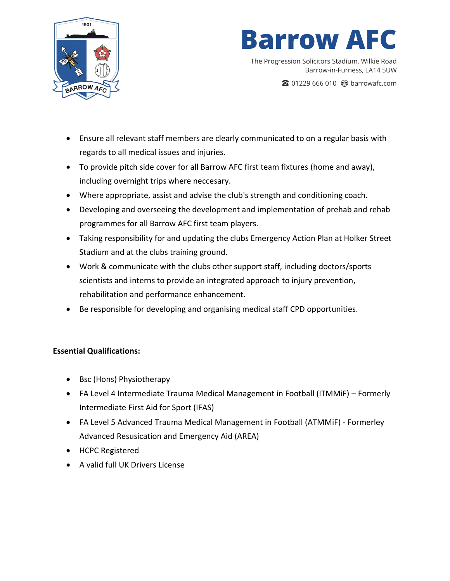

The Progression Solicitors Stadium, Wilkie Road Barrow-in-Furness, LA14 5UW

☎ 01229 666 010 barrowafc.com

- Ensure all relevant staff members are clearly communicated to on a regular basis with regards to all medical issues and injuries.
- To provide pitch side cover for all Barrow AFC first team fixtures (home and away), including overnight trips where neccesary.
- Where appropriate, assist and advise the club's strength and conditioning coach.
- Developing and overseeing the development and implementation of prehab and rehab programmes for all Barrow AFC first team players.
- Taking responsibility for and updating the clubs Emergency Action Plan at Holker Street Stadium and at the clubs training ground.
- Work & communicate with the clubs other support staff, including doctors/sports scientists and interns to provide an integrated approach to injury prevention, rehabilitation and performance enhancement.
- Be responsible for developing and organising medical staff CPD opportunities.

### **Essential Qualifications:**

- Bsc (Hons) Physiotherapy
- FA Level 4 Intermediate Trauma Medical Management in Football (ITMMiF) Formerly Intermediate First Aid for Sport (IFAS)
- FA Level 5 Advanced Trauma Medical Management in Football (ATMMiF) Formerley Advanced Resusication and Emergency Aid (AREA)
- HCPC Registered
- A valid full UK Drivers License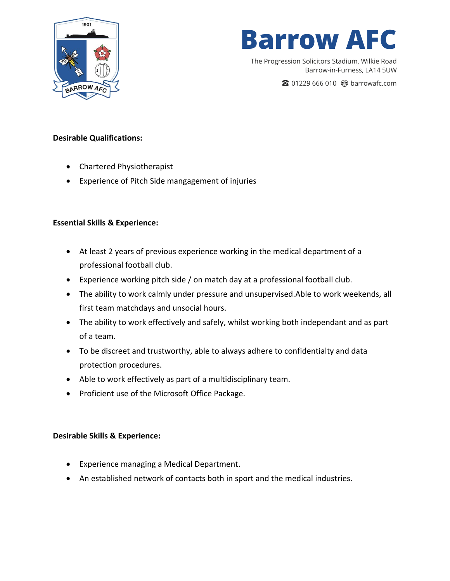

The Progression Solicitors Stadium, Wilkie Road Barrow-in-Furness, LA14 5UW

☎ 01229 666 010 barrowafc.com

#### **Desirable Qualifications:**

- Chartered Physiotherapist
- Experience of Pitch Side mangagement of injuries

#### **Essential Skills & Experience:**

- At least 2 years of previous experience working in the medical department of a professional football club.
- Experience working pitch side / on match day at a professional football club.
- The ability to work calmly under pressure and unsupervised.Able to work weekends, all first team matchdays and unsocial hours.
- The ability to work effectively and safely, whilst working both independant and as part of a team.
- To be discreet and trustworthy, able to always adhere to confidentialty and data protection procedures.
- Able to work effectively as part of a multidisciplinary team.
- Proficient use of the Microsoft Office Package.

#### **Desirable Skills & Experience:**

- Experience managing a Medical Department.
- An established network of contacts both in sport and the medical industries.